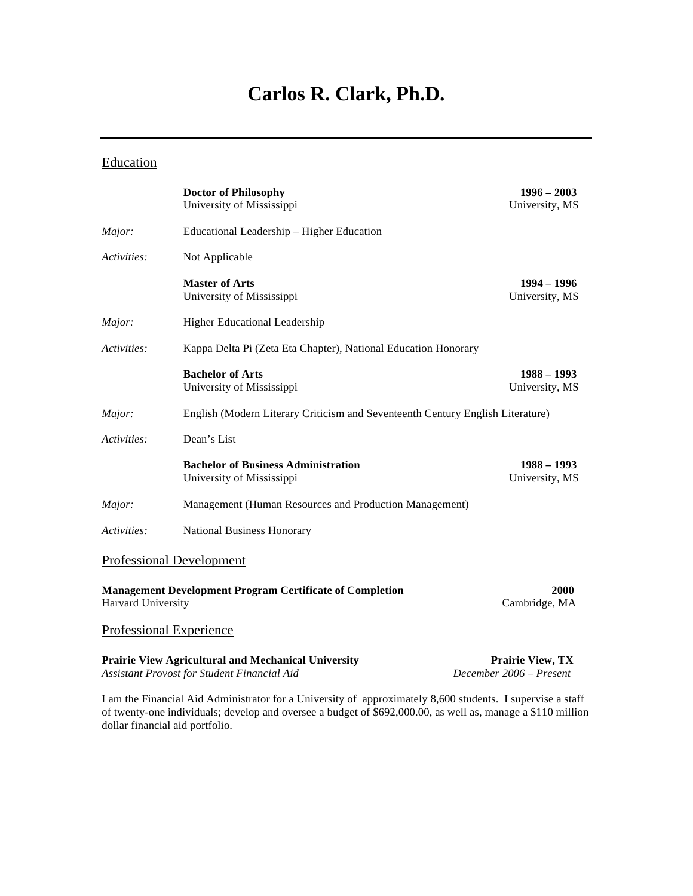# **Carlos R. Clark, Ph.D.**

# **Education**

|                                                                                       | <b>Doctor of Philosophy</b><br>University of Mississippi                       | $1996 - 2003$<br>University, MS |
|---------------------------------------------------------------------------------------|--------------------------------------------------------------------------------|---------------------------------|
| Major:                                                                                | Educational Leadership - Higher Education                                      |                                 |
| Activities:                                                                           | Not Applicable                                                                 |                                 |
|                                                                                       | <b>Master of Arts</b><br>University of Mississippi                             | $1994 - 1996$<br>University, MS |
| Major:                                                                                | Higher Educational Leadership                                                  |                                 |
| Activities:                                                                           | Kappa Delta Pi (Zeta Eta Chapter), National Education Honorary                 |                                 |
|                                                                                       | <b>Bachelor of Arts</b><br>University of Mississippi                           | $1988 - 1993$<br>University, MS |
| Major:                                                                                | English (Modern Literary Criticism and Seventeenth Century English Literature) |                                 |
| Activities:                                                                           | Dean's List                                                                    |                                 |
|                                                                                       | <b>Bachelor of Business Administration</b><br>University of Mississippi        | $1988 - 1993$<br>University, MS |
| Major:                                                                                | Management (Human Resources and Production Management)                         |                                 |
| Activities:                                                                           | National Business Honorary                                                     |                                 |
|                                                                                       | <b>Professional Development</b>                                                |                                 |
| <b>Management Development Program Certificate of Completion</b><br>Harvard University |                                                                                | 2000<br>Cambridge, MA           |
|                                                                                       | <b>Professional Experience</b>                                                 |                                 |
|                                                                                       | <b>Prairie View Agricultural and Mechanical University</b>                     | <b>Prairie View, TX</b>         |

*Assistant Provost for Student Financial Aid December 2006 – Present* 

dollar financial aid portfolio.

I am the Financial Aid Administrator for a University of approximately 8,600 students. I supervise a staff of twenty-one individuals; develop and oversee a budget of \$692,000.00, as well as, manage a \$110 million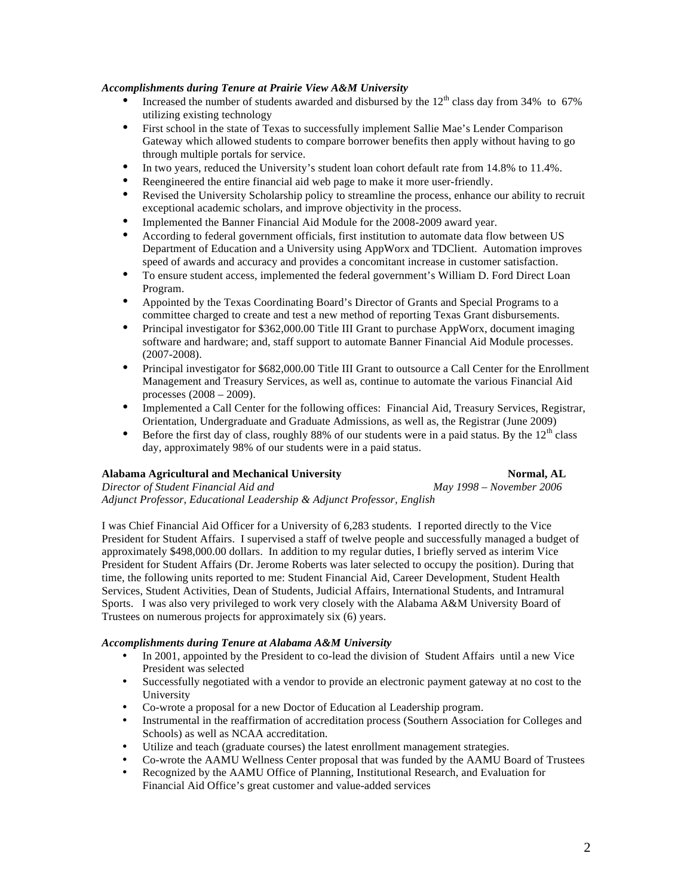#### *Accomplishments during Tenure at Prairie View A&M University*

- Increased the number of students awarded and disbursed by the  $12<sup>th</sup>$  class day from 34% to 67% utilizing existing technology
- First school in the state of Texas to successfully implement Sallie Mae's Lender Comparison Gateway which allowed students to compare borrower benefits then apply without having to go through multiple portals for service.
- In two years, reduced the University's student loan cohort default rate from 14.8% to 11.4%.
- Reengineered the entire financial aid web page to make it more user-friendly.
- Revised the University Scholarship policy to streamline the process, enhance our ability to recruit exceptional academic scholars, and improve objectivity in the process.
- Implemented the Banner Financial Aid Module for the 2008-2009 award year.<br>• According to federal government officials first institution to automate data flo
- According to federal government officials, first institution to automate data flow between US Department of Education and a University using AppWorx and TDClient. Automation improves speed of awards and accuracy and provides a concomitant increase in customer satisfaction.
- To ensure student access, implemented the federal government's William D. Ford Direct Loan Program.
- Appointed by the Texas Coordinating Board's Director of Grants and Special Programs to a committee charged to create and test a new method of reporting Texas Grant disbursements.
- Principal investigator for \$362,000.00 Title III Grant to purchase AppWorx, document imaging software and hardware; and, staff support to automate Banner Financial Aid Module processes. (2007-2008).
- Principal investigator for \$682,000.00 Title III Grant to outsource a Call Center for the Enrollment Management and Treasury Services, as well as, continue to automate the various Financial Aid processes (2008 – 2009).
- Implemented a Call Center for the following offices: Financial Aid, Treasury Services, Registrar, Orientation, Undergraduate and Graduate Admissions, as well as, the Registrar (June 2009)
- Before the first day of class, roughly 88% of our students were in a paid status. By the  $12<sup>th</sup>$  class day, approximately 98% of our students were in a paid status.

# Alabama Agricultural and Mechanical University **Normal, AL** *Normal, AL*

*Director of Student Financial Aid and May 1998 – November 2006 Adjunct Professor, Educational Leadership & Adjunct Professor, English* 

I was Chief Financial Aid Officer for a University of 6,283 students. I reported directly to the Vice President for Student Affairs. I supervised a staff of twelve people and successfully managed a budget of approximately \$498,000.00 dollars. In addition to my regular duties, I briefly served as interim Vice President for Student Affairs (Dr. Jerome Roberts was later selected to occupy the position). During that time, the following units reported to me: Student Financial Aid, Career Development, Student Health Services, Student Activities, Dean of Students, Judicial Affairs, International Students, and Intramural Sports. I was also very privileged to work very closely with the Alabama A&M University Board of Trustees on numerous projects for approximately six (6) years.

#### *Accomplishments during Tenure at Alabama A&M University*

- In 2001, appointed by the President to co-lead the division of Student Affairs until a new Vice President was selected
- Successfully negotiated with a vendor to provide an electronic payment gateway at no cost to the University
- Co-wrote a proposal for a new Doctor of Education al Leadership program.
- Instrumental in the reaffirmation of accreditation process (Southern Association for Colleges and Schools) as well as NCAA accreditation.
- Utilize and teach (graduate courses) the latest enrollment management strategies.
- Co-wrote the AAMU Wellness Center proposal that was funded by the AAMU Board of Trustees
- Recognized by the AAMU Office of Planning, Institutional Research, and Evaluation for Financial Aid Office's great customer and value-added services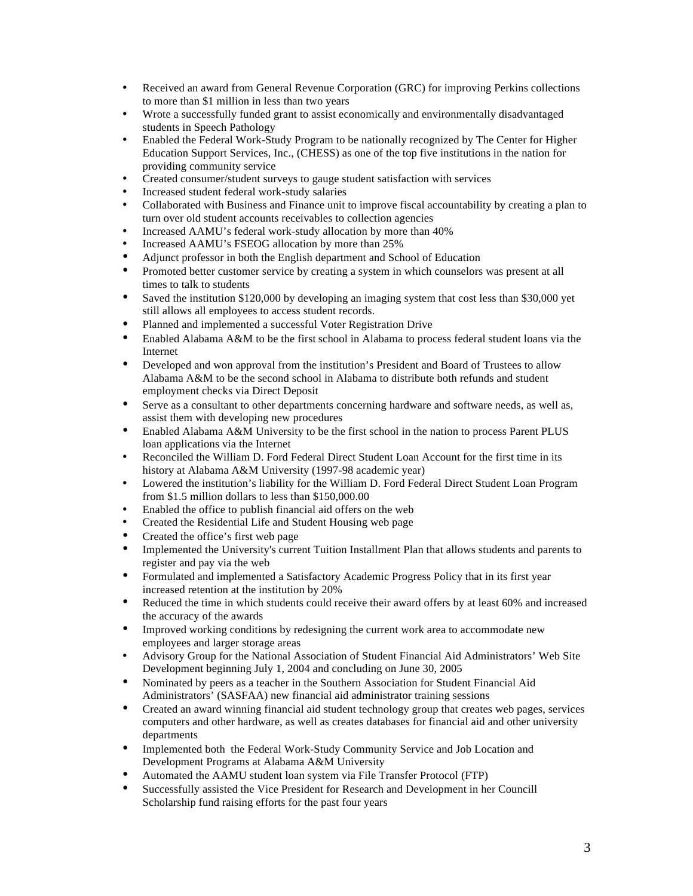- Received an award from General Revenue Corporation (GRC) for improving Perkins collections to more than \$1 million in less than two years
- Wrote a successfully funded grant to assist economically and environmentally disadvantaged students in Speech Pathology
- Enabled the Federal Work-Study Program to be nationally recognized by The Center for Higher Education Support Services, Inc., (CHESS) as one of the top five institutions in the nation for providing community service
- Created consumer/student surveys to gauge student satisfaction with services
- Increased student federal work-study salaries<br>• Collaborated with Business and Einance unit t
- Collaborated with Business and Finance unit to improve fiscal accountability by creating a plan to turn over old student accounts receivables to collection agencies
- Increased AAMU's federal work-study allocation by more than 40%
- Increased AAMU's FSEOG allocation by more than 25%
- Adjunct professor in both the English department and School of Education<br>• Promoted better customer service by creating a system in which counselors
- Promoted better customer service by creating a system in which counselors was present at all times to talk to students
- Saved the institution \$120,000 by developing an imaging system that cost less than \$30,000 yet still allows all employees to access student records.
- Planned and implemented a successful Voter Registration Drive
- Enabled Alabama A&M to be the first school in Alabama to process federal student loans via the Internet
- Developed and won approval from the institution's President and Board of Trustees to allow Alabama A&M to be the second school in Alabama to distribute both refunds and student employment checks via Direct Deposit
- Serve as a consultant to other departments concerning hardware and software needs, as well as, assist them with developing new procedures
- Enabled Alabama A&M University to be the first school in the nation to process Parent PLUS loan applications via the Internet
- Reconciled the William D. Ford Federal Direct Student Loan Account for the first time in its history at Alabama A&M University (1997-98 academic year)
- Lowered the institution's liability for the William D. Ford Federal Direct Student Loan Program from \$1.5 million dollars to less than \$150,000.00
- Enabled the office to publish financial aid offers on the web
- Created the Residential Life and Student Housing web page
- Created the office's first web page
- Implemented the University's current Tuition Installment Plan that allows students and parents to register and pay via the web
- Formulated and implemented a Satisfactory Academic Progress Policy that in its first year increased retention at the institution by 20%
- Reduced the time in which students could receive their award offers by at least 60% and increased the accuracy of the awards
- Improved working conditions by redesigning the current work area to accommodate new employees and larger storage areas
- Advisory Group for the National Association of Student Financial Aid Administrators' Web Site Development beginning July 1, 2004 and concluding on June 30, 2005
- Nominated by peers as a teacher in the Southern Association for Student Financial Aid Administrators' (SASFAA) new financial aid administrator training sessions
- Created an award winning financial aid student technology group that creates web pages, services computers and other hardware, as well as creates databases for financial aid and other university departments
- Implemented both the Federal Work-Study Community Service and Job Location and Development Programs at Alabama A&M University
- Automated the AAMU student loan system via File Transfer Protocol (FTP)
- Successfully assisted the Vice President for Research and Development in her Councill Scholarship fund raising efforts for the past four years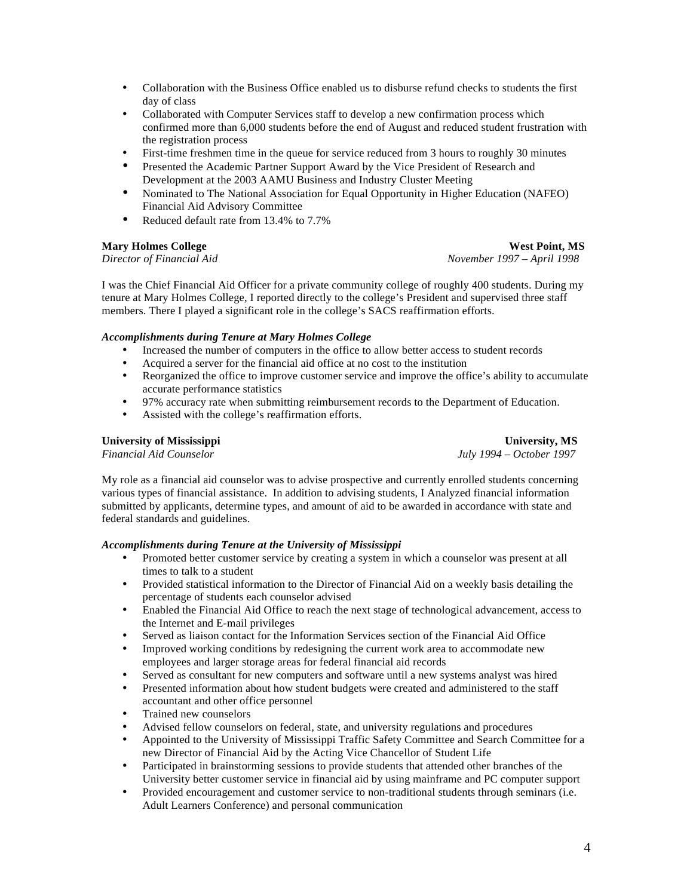- Collaboration with the Business Office enabled us to disburse refund checks to students the first day of class
- Collaborated with Computer Services staff to develop a new confirmation process which confirmed more than 6,000 students before the end of August and reduced student frustration with the registration process
- First-time freshmen time in the queue for service reduced from 3 hours to roughly 30 minutes
- Presented the Academic Partner Support Award by the Vice President of Research and Development at the 2003 AAMU Business and Industry Cluster Meeting
- Nominated to The National Association for Equal Opportunity in Higher Education (NAFEO) Financial Aid Advisory Committee
- Reduced default rate from 13.4% to 7.7%

#### **Mary Holmes College West Point, MS**

*Director of Financial Aid November 1997 – April 1998* 

I was the Chief Financial Aid Officer for a private community college of roughly 400 students. During my tenure at Mary Holmes College, I reported directly to the college's President and supervised three staff members. There I played a significant role in the college's SACS reaffirmation efforts.

#### *Accomplishments during Tenure at Mary Holmes College*

- Increased the number of computers in the office to allow better access to student records
- Acquired a server for the financial aid office at no cost to the institution
- Reorganized the office to improve customer service and improve the office's ability to accumulate accurate performance statistics
- 97% accuracy rate when submitting reimbursement records to the Department of Education.
- Assisted with the college's reaffirmation efforts.

#### **University of Mississippi University, MS**

*Financial Aid Counselor July 1994 – October 1997* 

My role as a financial aid counselor was to advise prospective and currently enrolled students concerning various types of financial assistance. In addition to advising students, I Analyzed financial information submitted by applicants, determine types, and amount of aid to be awarded in accordance with state and federal standards and guidelines.

#### *Accomplishments during Tenure at the University of Mississippi*

- Promoted better customer service by creating a system in which a counselor was present at all times to talk to a student
- Provided statistical information to the Director of Financial Aid on a weekly basis detailing the percentage of students each counselor advised
- Enabled the Financial Aid Office to reach the next stage of technological advancement, access to the Internet and E-mail privileges
- Served as liaison contact for the Information Services section of the Financial Aid Office
- Improved working conditions by redesigning the current work area to accommodate new employees and larger storage areas for federal financial aid records
- Served as consultant for new computers and software until a new systems analyst was hired
- Presented information about how student budgets were created and administered to the staff accountant and other office personnel
- Trained new counselors
- Advised fellow counselors on federal, state, and university regulations and procedures
- Appointed to the University of Mississippi Traffic Safety Committee and Search Committee for a new Director of Financial Aid by the Acting Vice Chancellor of Student Life
- Participated in brainstorming sessions to provide students that attended other branches of the University better customer service in financial aid by using mainframe and PC computer support
- Provided encouragement and customer service to non-traditional students through seminars (i.e. Adult Learners Conference) and personal communication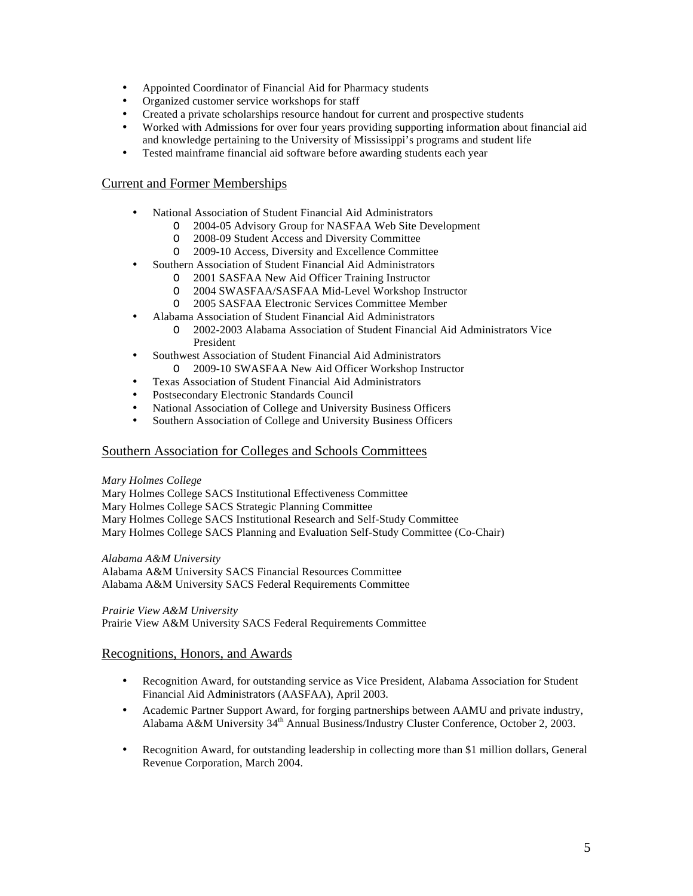- Appointed Coordinator of Financial Aid for Pharmacy students
- Organized customer service workshops for staff
- Created a private scholarships resource handout for current and prospective students
- Worked with Admissions for over four years providing supporting information about financial aid and knowledge pertaining to the University of Mississippi's programs and student life
- Tested mainframe financial aid software before awarding students each year

# Current and Former Memberships

- National Association of Student Financial Aid Administrators
	- 2004-05 Advisory Group for NASFAA Web Site Development
	- O 2008-09 Student Access and Diversity Committee
	- O 2009-10 Access, Diversity and Excellence Committee
- Southern Association of Student Financial Aid Administrators
	- O 2001 SASFAA New Aid Officer Training Instructor
	- O 2004 SWASFAA/SASFAA Mid-Level Workshop Instructor
	- O 2005 SASFAA Electronic Services Committee Member
- Alabama Association of Student Financial Aid Administrators
	- O 2002-2003 Alabama Association of Student Financial Aid Administrators Vice President
- Southwest Association of Student Financial Aid Administrators
	- O 2009-10 SWASFAA New Aid Officer Workshop Instructor
- Texas Association of Student Financial Aid Administrators
- Postsecondary Electronic Standards Council
- National Association of College and University Business Officers
- Southern Association of College and University Business Officers

# Southern Association for Colleges and Schools Committees

# *Mary Holmes College*

Mary Holmes College SACS Institutional Effectiveness Committee

Mary Holmes College SACS Strategic Planning Committee

Mary Holmes College SACS Institutional Research and Self-Study Committee

Mary Holmes College SACS Planning and Evaluation Self-Study Committee (Co-Chair)

# *Alabama A&M University*

Alabama A&M University SACS Financial Resources Committee Alabama A&M University SACS Federal Requirements Committee

# *Prairie View A&M University*

Prairie View A&M University SACS Federal Requirements Committee

# Recognitions, Honors, and Awards

- Recognition Award, for outstanding service as Vice President, Alabama Association for Student Financial Aid Administrators (AASFAA), April 2003.
- Academic Partner Support Award, for forging partnerships between AAMU and private industry, Alabama A&M University 34th Annual Business/Industry Cluster Conference, October 2, 2003.
- Recognition Award, for outstanding leadership in collecting more than \$1 million dollars, General Revenue Corporation, March 2004.